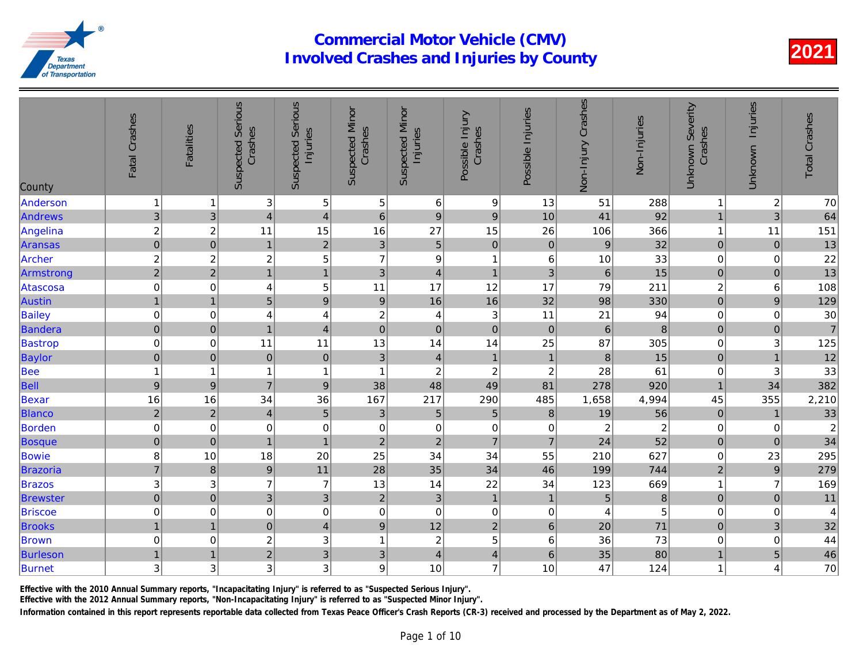| County          | <b>Fatal Crashes</b>    | <b>Fatalities</b>       | <b>Suspected Serious</b><br>Crashes | <b>Suspected Serious</b><br>Injuries | <b>Suspected Minor</b><br>Crashes | <b>Suspected Minor</b><br>Injuries | Possible Injury<br>Crashes | Possible Injuries | Non-Injury Crashes | Non-Injuries            |
|-----------------|-------------------------|-------------------------|-------------------------------------|--------------------------------------|-----------------------------------|------------------------------------|----------------------------|-------------------|--------------------|-------------------------|
| Anderson        | $\overline{1}$          | 1                       | 3                                   | $\mathbf 5$                          | 5                                 | $\,6$                              | 9                          | 13                | 51                 | 288                     |
| Andrews         | 3                       | 3                       | $\overline{4}$                      | $\overline{4}$                       | $6\phantom{1}$                    | $\overline{9}$                     | 9                          | 10                | 41                 | 92                      |
| Angelina        | $\overline{a}$          | $\overline{\mathbf{c}}$ | 11                                  | 15                                   | 16                                | 27                                 | 15                         | 26                | 106                | 366                     |
| Aransas         | $\mathbf 0$             | $\pmb{0}$               | $\mathbf{1}$                        | $\overline{c}$                       | 3                                 | $\sqrt{5}$                         | $\mathbf 0$                | $\pmb{0}$         | $\boldsymbol{9}$   | 32                      |
| Archer          | $\overline{\mathbf{c}}$ | $\overline{\mathbf{c}}$ | $\boldsymbol{2}$                    | 5                                    | $\overline{7}$                    | $\boldsymbol{9}$                   | 1                          | 6                 | 10                 | 33                      |
| Armstrong       | $\overline{a}$          | $\mathbf 2$             | $\mathbf{1}$                        | $\mathbf{1}$                         | 3                                 | $\overline{4}$                     | $\mathbf{1}$               | $\sqrt{3}$        | $\,$ 6 $\,$        | 15                      |
| Atascosa        | $\pmb{0}$               | 0                       | 4                                   | 5                                    | 11                                | 17                                 | 12                         | 17                | 79                 | 211                     |
| <b>Austin</b>   | $\mathbf{1}$            | $\overline{1}$          | 5 <sup>1</sup>                      | $\overline{9}$                       | $\boldsymbol{9}$                  | 16                                 | 16                         | 32                | 98                 | 330                     |
| <b>Bailey</b>   | $\pmb{0}$               | 0                       | 4                                   | $\overline{4}$                       | 2 <sub>1</sub>                    | $\overline{\mathbf{4}}$            | 3                          | 11                | 21                 | 94                      |
| Bandera         | $\overline{0}$          | $\pmb{0}$               | $\overline{1}$                      | $\overline{4}$                       | $\mathbf 0$                       | $\mathbf 0$                        | $\overline{0}$             | $\boldsymbol{0}$  | 6                  | 8                       |
| Bastrop         | $\mathbf 0$             | 0                       | 11                                  | 11                                   | 13                                | 14                                 | 14                         | 25                | 87                 | 305                     |
| Baylor          | $\mathbf 0$             | $\mathbf 0$             | $\overline{0}$                      | $\mathbf 0$                          | $\mathbf{3}$                      | $\vert 4 \vert$                    | $\mathbf{1}$               | $\mathbf{1}$      | $\bf 8$            | 15                      |
| <b>Bee</b>      | $\overline{1}$          | 1                       | $\mathbf{1}$                        | $\mathbf{1}$                         | 1                                 | $\boldsymbol{2}$                   | $\overline{c}$             | $\boldsymbol{2}$  | 28                 | 61                      |
| <b>Bell</b>     | $\boldsymbol{9}$        | $\boldsymbol{9}$        | $\overline{7}$                      | $\boldsymbol{9}$                     | 38                                | 48                                 | 49                         | 81                | 278                | 920                     |
| <b>Bexar</b>    | 16                      | 16                      | 34                                  | 36                                   | 167                               | 217                                | 290                        | 485               | 1,658              | 4,994                   |
| <b>Blanco</b>   | $\overline{2}$          | $\sqrt{2}$              | $\overline{\mathbf{4}}$             | $\overline{5}$                       | 3                                 | $\sqrt{5}$                         | 5                          | $\bf 8$           | 19                 | 56                      |
| Borden          | $\pmb{0}$               | 0                       | $\mathbf 0$                         | $\boldsymbol{0}$                     | 0                                 | $\pmb{0}$                          | $\pmb{0}$                  | $\,0\,$           | $\overline{c}$     | $\overline{\mathbf{c}}$ |
| <b>Bosque</b>   | $\pmb{0}$               | $\pmb{0}$               | $\mathbf{1}$                        | $\mathbf{1}$                         | $\overline{2}$                    | $\overline{2}$                     | $\overline{7}$             | $\overline{7}$    | 24                 | 52                      |
| <b>Bowie</b>    | 8                       | 10                      | 18                                  | 20                                   | 25                                | 34                                 | 34                         | 55                | 210                | 627                     |
| Brazoria        | $\overline{7}$          | 8                       | $\boldsymbol{9}$                    | 11                                   | 28                                | 35                                 | 34                         | 46                | 199                | 744                     |
| <b>Brazos</b>   | 3                       | 3                       | $\overline{7}$                      | $\overline{7}$                       | 13                                | 14                                 | 22                         | 34                | 123                | 669                     |
| <b>Brewster</b> | $\mathbf 0$             | $\pmb{0}$               | $\overline{3}$                      | $\mathbf{3}$                         | $\sqrt{2}$                        | $\overline{3}$                     | $\mathbf{1}$               | $\mathbf{1}$      | $\sqrt{5}$         | $\boldsymbol{8}$        |
| <b>Briscoe</b>  | $\pmb{0}$               | 0                       | 0                                   | $\mathbf 0$                          | 0                                 | $\mathsf 0$                        | $\mathbf 0$                | 0                 | $\overline{4}$     | 5                       |
| <b>Brooks</b>   | $\mathbf{1}$            | $\overline{1}$          | $\overline{0}$                      | $\overline{\mathbf{4}}$              | $\boldsymbol{9}$                  | 12                                 | $\overline{c}$             | $\,6$             | 20                 | 71                      |
| Brown           | $\boldsymbol{0}$        | 0                       | $\overline{c}$                      | $\mathbf 3$                          | 1                                 | $\boldsymbol{2}$                   | 5                          | 6                 | 36                 | 73                      |
| <b>Burleson</b> | $\mathbf{1}$            | 1                       | $\overline{a}$                      | $\overline{3}$                       | $\ensuremath{\mathsf{3}}$         | $\overline{4}$                     | $\overline{\mathcal{A}}$   | $\,$ 6 $\,$       | 35                 | 80                      |
| <b>Burnet</b>   | 3                       | 3                       | 3                                   | 3                                    | 9                                 | 10                                 | $\overline{7}$             | 10                | 47                 | 124                     |

Effective with the 2010 Annual Summary reports, "Incapacitating Injury" is referred to as "Suspected Serious Injury".

Effective with the 2012 Annual Summary reports, "Non-Incapacitating Injury" is referred to as "Suspected Minor Injury".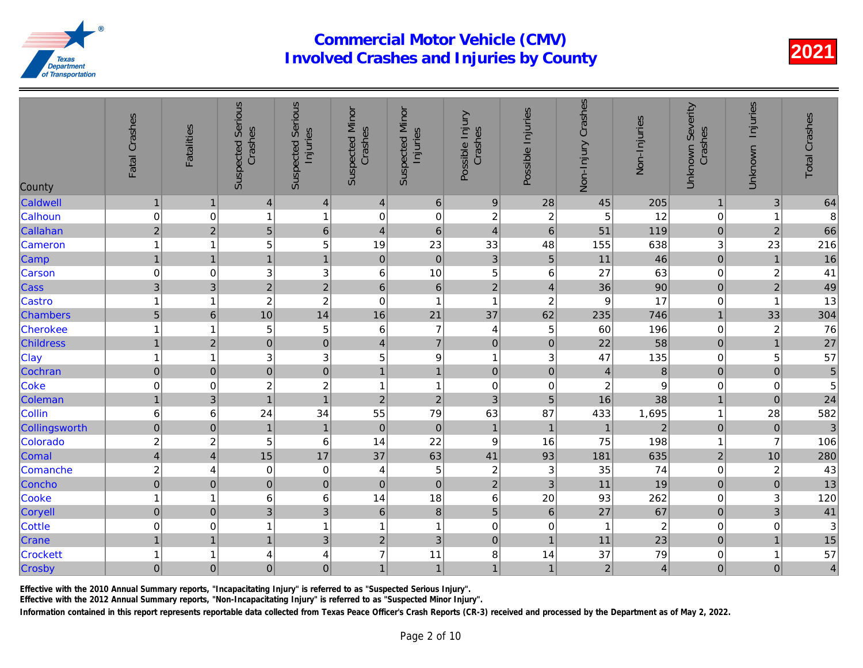|                  | Fatal Crashes            | <b>Fatalities</b>       | <b>Suspected Serious</b><br>Crashes | <b>Suspected Serious</b><br>Injuries | <b>Suspected Minor</b><br>Crashes | <b>Suspected Minor</b><br>Injuries | Possible Injury<br>Crashes | Possible Injuries       | Non-Injury Crashes | Non-Injuries            |
|------------------|--------------------------|-------------------------|-------------------------------------|--------------------------------------|-----------------------------------|------------------------------------|----------------------------|-------------------------|--------------------|-------------------------|
| County           |                          |                         |                                     |                                      |                                   |                                    |                            |                         |                    |                         |
| Caldwell         | $\mathbf{1}$             | $\mathbf{1}$            | $\vert 4 \vert$                     | $\overline{4}$                       | $\overline{4}$                    | 6                                  | $\boldsymbol{9}$           | 28                      | 45                 | 205                     |
| Calhoun          | $\pmb{0}$                | 0                       | $\mathbf{1}$                        | $\overline{1}$                       | 0                                 | $\mathbf 0$                        | $\overline{\mathbf{c}}$    | $\overline{\mathbf{c}}$ | 5                  | 12                      |
| Callahan         | $\overline{c}$           | $\overline{2}$          | $\overline{5}$                      | $\overline{6}$                       | $\overline{\mathbf{4}}$           | 6                                  | $\overline{4}$             | $6\phantom{1}$          | 51                 | 119                     |
| Cameron          | $\overline{1}$           | 1                       | 5                                   | 5                                    | 19                                | 23                                 | 33                         | 48                      | 155                | 638                     |
| Camp             | $\mathbf{1}$             | $\overline{1}$          | $\mathbf{1}$                        | $\mathbf{1}$                         | $\mathbf 0$                       | $\pmb{0}$                          | $\sqrt{3}$                 | $\overline{5}$          | 11                 | 46                      |
| <b>Carson</b>    | $\pmb{0}$                | 0                       | 3                                   | 3                                    | 6                                 | 10                                 | 5                          | 6                       | 27                 | 63                      |
| Cass             | $\overline{3}$           | 3                       | $\overline{2}$                      | $\overline{2}$                       | 6                                 | $\,6\,$                            | $\overline{2}$             | $\overline{4}$          | 36                 | 90                      |
| <b>Castro</b>    | $\overline{1}$           | 1                       | $\boldsymbol{2}$                    | $\overline{2}$                       | $\mathbf 0$                       | $\overline{1}$                     | $\mathbf{1}$               | $\boldsymbol{2}$        | 9                  | 17                      |
| <b>Chambers</b>  | 5                        | $6\phantom{1}$          | 10                                  | 14                                   | 16                                | 21                                 | 37                         | 62                      | 235                | 746                     |
| <b>Cherokee</b>  | $\overline{1}$           | 1                       | 5                                   | 5                                    | 6                                 | $\overline{7}$                     | 4                          | 5                       | 60                 | 196                     |
| <b>Childress</b> | $\mathbf{1}$             | $\overline{2}$          | $\overline{0}$                      | $\mathbf 0$                          | $\overline{4}$                    | $\overline{7}$                     | $\pmb{0}$                  | $\pmb{0}$               | 22                 | 58                      |
| Clay             | $\overline{1}$           | 1                       | 3                                   | 3                                    | 5                                 | 9                                  | $\mathbf{1}$               | 3                       | 47                 | 135                     |
| Cochran          | $\boldsymbol{0}$         | $\mathsf{O}\xspace$     | $\overline{0}$                      | $\overline{0}$                       | $\overline{1}$                    | $\overline{1}$                     | $\pmb{0}$                  | $\pmb{0}$               | $\overline{4}$     | 8                       |
| <b>Coke</b>      | $\boldsymbol{0}$         | 0                       | $\boldsymbol{2}$                    | $\overline{c}$                       | 1                                 | $\mathbf{1}$                       | $\mathbf 0$                | $\mathbf 0$             | $\boldsymbol{2}$   | 9                       |
| Coleman          | $\mathbf{1}$             | 3                       | $\overline{1}$                      | $\mathbf{1}$                         | $\overline{c}$                    | $\overline{2}$                     | 3                          | 5                       | 16                 | 38                      |
| <b>Collin</b>    | $6\phantom{1}6$          | 6                       | 24                                  | 34                                   | 55                                | 79                                 | 63                         | 87                      | 433                | 1,695                   |
| Collingsworth    | $\pmb{0}$                | $\mathbf 0$             | 1                                   | $\mathbf{1}$                         | $\mathbf 0$                       | $\pmb{0}$                          | $\mathbf{1}$               | $\mathbf{1}$            | $\mathbf{1}$       | $\overline{2}$          |
| Colorado         | $\overline{c}$           | $\overline{\mathbf{c}}$ | 5                                   | $\,6$                                | 14                                | 22                                 | $\boldsymbol{9}$           | 16                      | 75                 | 198                     |
| Comal            | $\overline{\mathcal{L}}$ | $\overline{\mathbf{4}}$ | 15                                  | 17                                   | 37                                | 63                                 | 41                         | 93                      | 181                | 635                     |
| Comanche         | $\overline{c}$           | 4                       | $\mathbf 0$                         | $\mathbf 0$                          | 4                                 | $\sqrt{5}$                         | $\overline{c}$             | 3                       | 35                 | 74                      |
| Concho           | $\overline{0}$           | $\pmb{0}$               | $\overline{0}$                      | $\mathbf 0$                          | $\pmb{0}$                         | $\mathbf 0$                        | $\overline{c}$             | 3                       | 11                 | 19                      |
| Cooke            | $\overline{1}$           | 1                       | 6                                   | $\,6$                                | 14                                | 18                                 | $6\phantom{1}6$            | 20                      | 93                 | 262                     |
| Coryell          | $\boldsymbol{0}$         | $\overline{0}$          | 3 <sup>1</sup>                      | $\overline{3}$                       | $6\phantom{1}$                    | 8                                  | 5                          | $\,6\,$                 | 27                 | 67                      |
| <b>Cottle</b>    | $\boldsymbol{0}$         | 0                       | $\mathbf{1}$                        | $\overline{1}$                       | 1                                 | $\mathbf{1}$                       | $\mathbf 0$                | $\mathbf 0$             |                    | $\overline{\mathbf{c}}$ |
| Crane            | $\overline{1}$           | $\overline{1}$          | $\overline{1}$                      | 3                                    | $\overline{2}$                    | $\mathbf{3}$                       | $\mathbf 0$                | $\overline{1}$          | 11                 | 23                      |
| <b>Crockett</b>  | $\overline{1}$           | 1                       | 4                                   | $\overline{\mathbf{4}}$              | $\overline{7}$                    | 11                                 | 8                          | 14                      | 37                 | 79                      |
| Crosby           | $\mathbf 0$              | $\mathbf{0}$            | 0                                   | $\mathbf 0$                          | $\mathbf{1}$                      | 1                                  | $\mathbf{1}$               | $\mathbf{1}$            | $\mathbf 2$        | $\overline{\mathbf{r}}$ |
|                  |                          |                         |                                     |                                      |                                   |                                    |                            |                         |                    |                         |

Effective with the 2010 Annual Summary reports, "Incapacitating Injury" is referred to as "Suspected Serious Injury".

Effective with the 2012 Annual Summary reports, "Non-Incapacitating Injury" is referred to as "Suspected Minor Injury".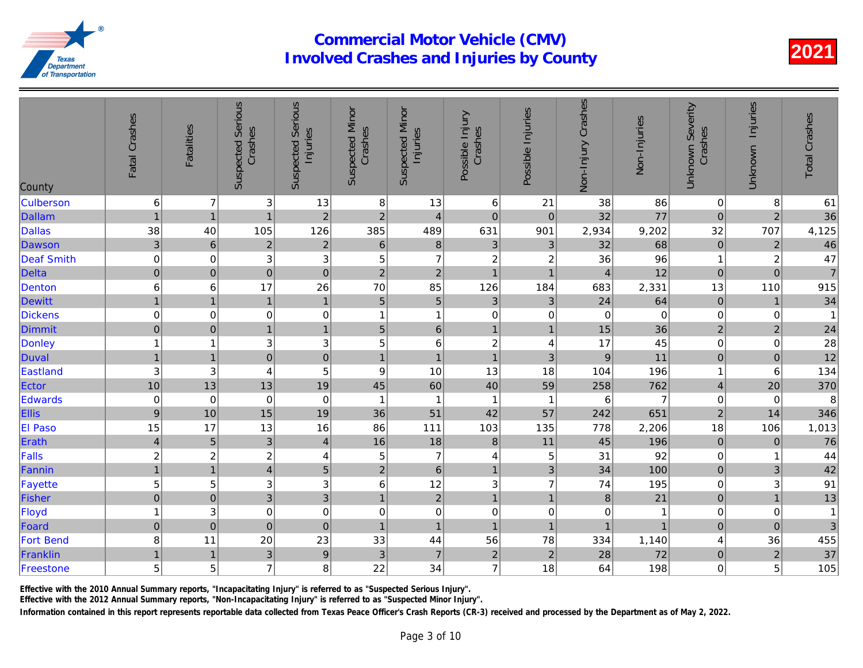| County            | Fatal Crashes            | <b>Fatalities</b> | <b>Suspected Serious</b><br>Crashes | <b>Suspected Serious</b><br>Injuries | <b>Suspected Minor</b><br>Crashes | <b>Suspected Minor</b><br>Injuries | Possible Injury<br>Crashes | Possible Injuries       | Non-Injury Crashes | Non-Injuries   |
|-------------------|--------------------------|-------------------|-------------------------------------|--------------------------------------|-----------------------------------|------------------------------------|----------------------------|-------------------------|--------------------|----------------|
| <b>Culberson</b>  | $\,6$                    | $\overline{7}$    | 3                                   | 13                                   | 8                                 | 13                                 | $\,6$                      | 21                      | 38                 | 86             |
| Dallam            | $\mathbf{1}$             | $\overline{1}$    | $\overline{1}$                      | $\overline{2}$                       | $\overline{2}$                    | $\overline{4}$                     | $\mathbf 0$                | $\pmb{0}$               | 32                 | 77             |
| <b>Dallas</b>     | 38                       | 40                | 105                                 | 126                                  | 385                               | 489                                | 631                        | 901                     | 2,934              | 9,202          |
| Dawson            | $\sqrt{3}$               | $\,$ 6 $\,$       | $\sqrt{2}$                          | $\overline{2}$                       | $\,$ 6 $\,$                       | $\bf8$                             | 3                          | $\mathbf{3}$            | 32                 | 68             |
| <b>Deaf Smith</b> | $\pmb{0}$                | 0                 | $\ensuremath{\mathsf{3}}$           | 3                                    | 5                                 | $\overline{7}$                     | $\overline{\mathbf{c}}$    | $\overline{\mathbf{c}}$ | 36                 | 96             |
| Delta             | $\mathbf 0$              | $\pmb{0}$         | $\mathbf 0$                         | $\mathbf 0$                          | $\mathbf 2$                       | $\sqrt{2}$                         | $\mathbf{1}$               | $\overline{1}$          | $\overline{4}$     | 12             |
| Denton            | $\,6\,$                  | 6                 | 17                                  | 26                                   | 70                                | 85                                 | 126                        | 184                     | 683                | 2,331          |
| <b>Dewitt</b>     | $\mathbf{1}$             | $\overline{1}$    | $\mathbf{1}$                        | $\mathbf{1}$                         | $\overline{5}$                    | $\overline{5}$                     | 3                          | $\mathbf{3}$            | 24                 | 64             |
| <b>Dickens</b>    | $\pmb{0}$                | $\mathbf 0$       | $\pmb{0}$                           | $\pmb{0}$                            | 1                                 | $\mathbf{1}$                       | $\boldsymbol{0}$           | $\pmb{0}$               | $\mathbf 0$        | $\mathbf 0$    |
| Dimmit            | $\mathbf 0$              | $\mathbf 0$       | 1                                   | $\mathbf{1}$                         | 5                                 | $6\phantom{a}$                     | $\mathbf{1}$               | $\overline{1}$          | 15                 | 36             |
| Donley            | $\mathbf{1}$             | 1                 | 3                                   | 3                                    | 5                                 | $6\phantom{1}6$                    | $\boldsymbol{2}$           | 4                       | 17                 | 45             |
| Duval             | $\mathbf{1}$             | $\overline{1}$    | $\mathbf 0$                         | $\mathbf 0$                          | $\mathbf{1}$                      | $\overline{1}$                     | $\overline{1}$             | 3                       | $\boldsymbol{9}$   | 11             |
| Eastland          | 3                        | 3                 | 4                                   | 5                                    | 9                                 | 10                                 | 13                         | 18                      | 104                | 196            |
| Ector             | 10                       | 13                | 13                                  | 19                                   | 45                                | 60                                 | 40                         | 59                      | 258                | 762            |
| Edwards           | $\mathbf 0$              | $\mathbf 0$       | $\pmb{0}$                           | $\mathbf 0$                          | $\overline{\mathbf{1}}$           | $\mathbf{1}$                       | $\mathbf{1}$               | $\overline{1}$          | 6                  | $\overline{7}$ |
| Ellis             | $\overline{9}$           | 10                | 15                                  | 19                                   | 36                                | 51                                 | 42                         | 57                      | 242                | 651            |
| El Paso           | 15                       | 17                | 13                                  | 16                                   | 86                                | 111                                | 103                        | 135                     | 778                | 2,206          |
| Erath             | $\overline{\mathcal{L}}$ | 5                 | $\mathfrak{S}$                      | $\overline{4}$                       | 16                                | 18                                 | $\bf 8$                    | 11                      | 45                 | 196            |
| Falls             | $\overline{c}$           | $\boldsymbol{2}$  | $\overline{c}$                      | $\overline{\mathbf{4}}$              | 5                                 | $\overline{7}$                     | 4                          | 5                       | 31                 | 92             |
| Fannin            | $\overline{1}$           | $\overline{1}$    | $\overline{4}$                      | 5                                    | $\overline{2}$                    | $\,6$                              | $\overline{1}$             | 3                       | 34                 | 100            |
| Fayette           | 5                        | 5                 | 3                                   | 3                                    | 6                                 | 12                                 | $\sqrt{3}$                 | $\overline{7}$          | 74                 | 195            |
| Fisher            | $\mathbf 0$              | $\pmb{0}$         | $\overline{3}$                      | 3                                    | $\mathbf{1}$                      | $\mathbf 2$                        | $\mathbf{1}$               | $\mathbf{1}$            | $\bf 8$            | 21             |
| Floyd             | $\mathbf{1}$             | 3                 | 0                                   | $\pmb{0}$                            | 0                                 | $\pmb{0}$                          | $\pmb{0}$                  | 0                       | 0                  | $\mathbf{1}$   |
| Foard             | $\pmb{0}$                | $\boldsymbol{0}$  | $\mathbf 0$                         | $\pmb{0}$                            | $\overline{1}$                    | $\overline{1}$                     | $\mathbf{1}$               | $\overline{1}$          | $\overline{1}$     | $\overline{1}$ |
| <b>Fort Bend</b>  | 8                        | 11                | 20                                  | 23                                   | 33                                | 44                                 | 56                         | 78                      | 334                | 1,140          |
| Franklin          | $\mathbf{1}$             | $\overline{1}$    | $\mathbf{3}$                        | 9                                    | 3                                 | $\overline{7}$                     | $\boldsymbol{2}$           | $\mathbf 2$             | 28                 | 72             |
| Freestone         | 5                        | $\sqrt{5}$        | $\overline{7}$                      | 8                                    | 22                                | 34                                 | $\overline{7}$             | 18                      | 64                 | 198            |

Effective with the 2010 Annual Summary reports, "Incapacitating Injury" is referred to as "Suspected Serious Injury".

Effective with the 2012 Annual Summary reports, "Non-Incapacitating Injury" is referred to as "Suspected Minor Injury".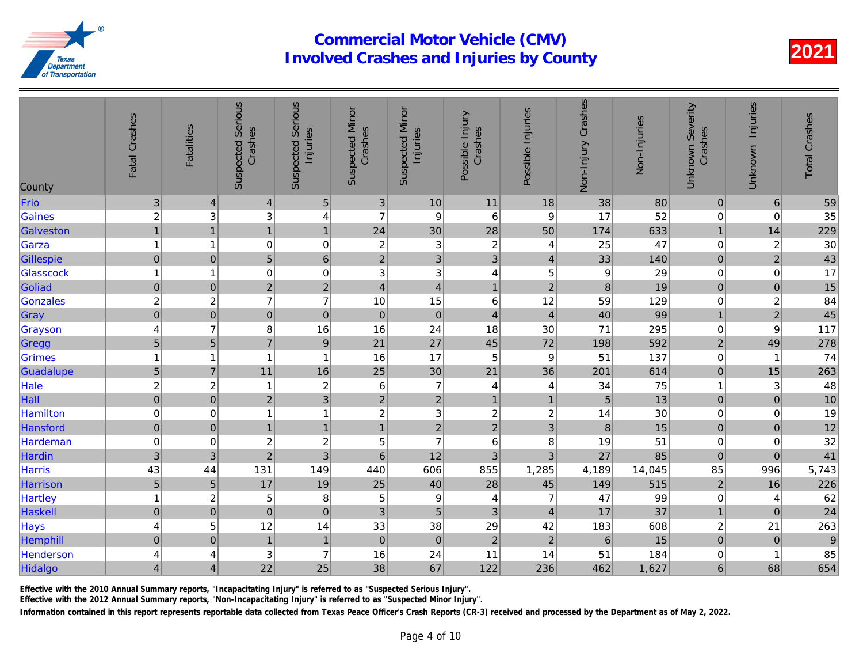| County        | Fatal Crashes             | <b>Fatalities</b>       | <b>Suspected Serious</b><br>Crashes | <b>Suspected Serious</b><br>Injuries | <b>Suspected Minor</b><br>Crashes | <b>Suspected Minor</b><br>Injuries | Possible Injury<br>Crashes | Possible Injuries | Non-Injury Crashes | Non-Injuries |
|---------------|---------------------------|-------------------------|-------------------------------------|--------------------------------------|-----------------------------------|------------------------------------|----------------------------|-------------------|--------------------|--------------|
| Frio          | $\ensuremath{\mathsf{3}}$ | 4                       | $\overline{4}$                      | $\overline{5}$                       | $\sqrt{3}$                        | 10                                 | 11                         | 18                | 38                 | 80           |
| Gaines        | $\overline{c}$            | 3                       | 3                                   | $\overline{\mathbf{4}}$              | $\overline{7}$                    | $\boldsymbol{9}$                   | 6                          | 9                 | 17                 | 52           |
| Galveston     | $\overline{1}$            | $\overline{1}$          | $\overline{1}$                      | $\mathbf{1}$                         | 24                                | 30                                 | 28                         | 50                | 174                | 633          |
| Garza         | $\mathbf{1}$              | -1                      | $\boldsymbol{0}$                    | $\mathbf 0$                          | $\boldsymbol{2}$                  | $\ensuremath{\mathsf{3}}$          | $\boldsymbol{2}$           | 4                 | 25                 | 47           |
| Gillespie     | $\mathbf 0$               | $\boldsymbol{0}$        | 5                                   | $\,$ 6 $\,$                          | $\overline{c}$                    | 3                                  | $\overline{3}$             | 4                 | 33                 | 140          |
| Glasscock     | $\mathbf{1}$              | 1                       | $\mathbf 0$                         | $\pmb{0}$                            | 3                                 | 3                                  | 4                          | $\mathbf 5$       | 9                  | 29           |
| Goliad        | $\overline{0}$            | $\pmb{0}$               | $\overline{2}$                      | $\overline{2}$                       | $\overline{4}$                    | $\overline{4}$                     | $\mathbf{1}$               | $\overline{2}$    | 8                  | 19           |
| Gonzales      | $\overline{c}$            | $\overline{c}$          | $\overline{7}$                      | $\overline{7}$                       | 10                                | 15                                 | $\,6$                      | 12                | 59                 | 129          |
| Gray          | $\overline{0}$            | $\mathbf 0$             | $\mathsf 0$                         | $\mathbf 0$                          | $\pmb{0}$                         | $\pmb{0}$                          | $\overline{4}$             | $\overline{4}$    | 40                 | 99           |
| Grayson       | $\overline{4}$            | $\overline{7}$          | 8                                   | 16                                   | 16                                | 24                                 | 18                         | 30                | 71                 | 295          |
| Gregg         | $\overline{5}$            | 5                       | $\overline{7}$                      | $\overline{9}$                       | 21                                | 27                                 | 45                         | 72                | 198                | 592          |
| Grimes        | $\mathbf{1}$              | 1                       | 1                                   | $\mathbf{1}$                         | 16                                | 17                                 | 5                          | 9                 | 51                 | 137          |
| Guadalupe     | $\sqrt{5}$                | $\overline{7}$          | 11                                  | 16                                   | 25                                | 30                                 | 21                         | 36                | 201                | 614          |
| Hale          | $\overline{c}$            | $\boldsymbol{2}$        | $\mathbf 1$                         | $\overline{c}$                       | 6                                 | $\overline{7}$                     | 4                          | 4                 | 34                 | 75           |
| Hall          | $\overline{0}$            | $\overline{0}$          | $\overline{2}$                      | $\overline{3}$                       | $\overline{2}$                    | $\overline{2}$                     | $\overline{1}$             | $\mathbf{1}$      | 5                  | 13           |
| Hamilton      | $\mathbf 0$               | $\mathbf 0$             | 1                                   | $\mathbf{1}$                         | 2                                 | 3                                  | $\boldsymbol{2}$           | $\boldsymbol{2}$  | 14                 | 30           |
| Hansford      | $\mathbf 0$               | $\pmb{0}$               | $\mathbf{1}$                        | $\mathbf{1}$                         | $\mathbf{1}$                      | $\sqrt{2}$                         | $\overline{c}$             | $\mathbf{3}$      | $\bf 8$            | 15           |
| Hardeman      | $\pmb{0}$                 | 0                       | $\overline{c}$                      | $\overline{c}$                       | 5                                 | $\overline{7}$                     | $\,6$                      | 8                 | 19                 | 51           |
| Hardin        | $\overline{3}$            | 3                       | $\overline{2}$                      | $\overline{3}$                       | $\,$ 6 $\,$                       | 12                                 | 3                          | 3                 | 27                 | 85           |
| <b>Harris</b> | 43                        | 44                      | 131                                 | 149                                  | 440                               | 606                                | 855                        | 1,285             | 4,189              | 14,045       |
| Harrison      | $\sqrt{5}$                | $\overline{5}$          | 17                                  | 19                                   | 25                                | 40                                 | 28                         | 45                | 149                | 515          |
| Hartley       | $\mathbf{1}$              | $\overline{\mathbf{c}}$ | 5                                   | 8                                    | 5                                 | $\boldsymbol{9}$                   | 4                          | $\overline{7}$    | 47                 | 99           |
| Haskell       | $\overline{0}$            | $\mathbf 0$             | $\mathbf 0$                         | $\mathbf 0$                          | 3                                 | $\overline{5}$                     | 3                          | $\overline{4}$    | 17                 | 37           |
| Hays          | $\overline{4}$            | 5                       | 12                                  | 14                                   | 33                                | 38                                 | 29                         | 42                | 183                | 608          |
| Hemphill      | $\mathbf 0$               | $\mathbf 0$             | $\overline{1}$                      | $\mathbf{1}$                         | $\mathbf 0$                       | $\pmb{0}$                          | $\overline{2}$             | $\overline{c}$    | $\,6\,$            | 15           |
| Henderson     | 4                         | 4                       | 3                                   | $\overline{7}$                       | 16                                | 24                                 | 11                         | 14                | 51                 | 184          |
| Hidalgo       | $\overline{\mathbf{4}}$   | 4                       | 22                                  | 25                                   | 38                                | 67                                 | 122                        | 236               | 462                | 1,627        |

Effective with the 2010 Annual Summary reports, "Incapacitating Injury" is referred to as "Suspected Serious Injury".

Effective with the 2012 Annual Summary reports, "Non-Incapacitating Injury" is referred to as "Suspected Minor Injury".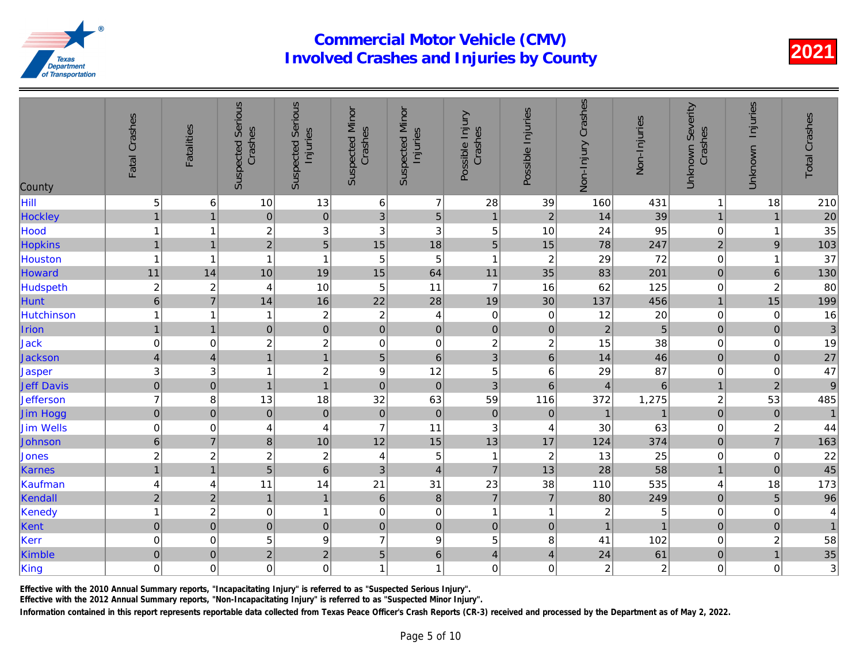| County            | Fatal Crashes             | <b>Fatalities</b>       | <b>Suspected Serious</b><br>Crashes | <b>Suspected Serious</b><br>Injuries | <b>Suspected Minor</b><br>Crashes | <b>Suspected Minor</b><br>Injuries | Possible Injury<br>Crashes | Possible Injuries | Non-Injury Crashes | Non-Injuries   |
|-------------------|---------------------------|-------------------------|-------------------------------------|--------------------------------------|-----------------------------------|------------------------------------|----------------------------|-------------------|--------------------|----------------|
| Hill              | 5                         | 6                       | 10                                  | 13                                   | 6                                 | $\overline{7}$                     | 28                         | 39                | 160                | 431            |
| Hockley           | $\mathbf{1}$              | $\overline{1}$          | $\overline{0}$                      | $\mathbf 0$                          | 3                                 | $\overline{5}$                     | $\mathbf{1}$               | $\overline{2}$    | 14                 | 39             |
| Hood              | $\overline{1}$            | 1                       | $\overline{c}$                      | 3                                    | 3                                 | $\mathbf 3$                        | 5                          | 10                | 24                 | 95             |
| <b>Hopkins</b>    | $\overline{1}$            | $\overline{1}$          | $\overline{2}$                      | $\overline{5}$                       | 15                                | 18                                 | 5                          | 15                | 78                 | 247            |
| Houston           | $\overline{1}$            | 1                       | $\overline{1}$                      | $\overline{1}$                       | 5                                 | $\overline{5}$                     | $\mathbf{1}$               | $\sqrt{2}$        | 29                 | 72             |
| <b>Howard</b>     | 11                        | 14                      | 10                                  | 19                                   | 15                                | 64                                 | 11                         | 35                | 83                 | 201            |
| <b>Hudspeth</b>   | $\overline{c}$            | $\overline{\mathbf{c}}$ | 4                                   | 10                                   | 5                                 | 11                                 | $\overline{7}$             | 16                | 62                 | 125            |
| <b>Hunt</b>       | $\,$ 6 $\,$               | $\overline{7}$          | 14                                  | 16                                   | 22                                | 28                                 | 19                         | 30                | 137                | 456            |
| <b>Hutchinson</b> | $\overline{1}$            | 1                       | $\mathbf{1}$                        | $\overline{c}$                       | $\sqrt{2}$                        | $\overline{\mathbf{4}}$            | $\mathbf 0$                | $\mathbf 0$       | 12                 | 20             |
| Irion             | $\mathbf{1}$              | 1                       | $\overline{0}$                      | $\overline{0}$                       | $\mathbf 0$                       | $\overline{0}$                     | $\mathbf 0$                | $\pmb{0}$         | $\overline{2}$     | $\overline{5}$ |
| Jack              | $\mathbf 0$               | 0                       | $\overline{c}$                      | $\overline{c}$                       | $\mathbf 0$                       | $\mathbf 0$                        | $\overline{c}$             | $\boldsymbol{2}$  | 15                 | 38             |
| Jackson           | $\overline{4}$            | $\overline{4}$          | 1                                   | $\overline{1}$                       | 5                                 | $6\phantom{a}$                     | 3                          | $6\phantom{1}$    | 14                 | 46             |
| Jasper            | $\ensuremath{\mathsf{3}}$ | 3                       | $\mathbf{1}$                        | $\overline{c}$                       | 9                                 | 12                                 | 5                          | 6                 | 29                 | 87             |
| <b>Jeff Davis</b> | $\mathbf 0$               | $\pmb{0}$               | $\mathbf{1}$                        | $\overline{1}$                       | $\pmb{0}$                         | $\mathbf 0$                        | 3                          | $\,6\,$           | $\overline{4}$     | $\overline{6}$ |
| <b>Jefferson</b>  | $\overline{7}$            | 8                       | 13                                  | 18                                   | 32                                | 63                                 | 59                         | 116               | 372                | 1,275          |
| Jim Hogg          | $\boldsymbol{0}$          | $\mathbf 0$             | $\mathbf 0$                         | $\mathbf 0$                          | $\pmb{0}$                         | $\pmb{0}$                          | $\pmb{0}$                  | $\mathbf 0$       | $\overline{1}$     | $\mathbf{1}$   |
| <b>Jim Wells</b>  | $\pmb{0}$                 | 0                       | 4                                   | $\overline{4}$                       | $\overline{7}$                    | 11                                 | 3                          | 4                 | 30                 | 63             |
| Johnson           | $\boldsymbol{6}$          | $\overline{7}$          | $\bf{8}$                            | 10                                   | 12                                | 15                                 | 13                         | 17                | 124                | 374            |
| <b>Jones</b>      | $\overline{c}$            | $\overline{c}$          | $\boldsymbol{2}$                    | $\overline{c}$                       | 4                                 | $\sqrt{5}$                         | $\mathbf{1}$               | $\overline{2}$    | 13                 | 25             |
| Karnes            | $\overline{1}$            | $\overline{1}$          | $\overline{5}$                      | $\overline{6}$                       | 3                                 | $\overline{4}$                     | $\overline{7}$             | 13                | 28                 | 58             |
| Kaufman           | $\overline{4}$            | 4                       | 11                                  | 14                                   | 21                                | 31                                 | 23                         | 38                | 110                | 535            |
| Kendall           | $\overline{c}$            | $\overline{c}$          | $\mathbf{1}$                        | $\mathbf{1}$                         | $\,6\,$                           | $\bf{8}$                           | $\overline{7}$             | $\overline{7}$    | 80                 | 249            |
| Kenedy            | $\mathbf{1}$              | $\overline{c}$          | $\mathbf 0$                         | $\mathbf{1}$                         | 0                                 | $\mathsf 0$                        | $\mathbf{1}$               | $\mathbf{1}$      | $\boldsymbol{2}$   | 5              |
| Kent              | $\mathbf 0$               | $\pmb{0}$               | $\overline{0}$                      | $\mathbf 0$                          | $\pmb{0}$                         | $\pmb{0}$                          | $\pmb{0}$                  | $\pmb{0}$         | $\overline{1}$     | $\overline{1}$ |
| Kerr              | $\pmb{0}$                 | 0                       | 5                                   | $\boldsymbol{9}$                     | $\overline{7}$                    | $\boldsymbol{9}$                   | 5                          | 8                 | 41                 | 102            |
| Kimble            | $\pmb{0}$                 | $\pmb{0}$               | $\overline{2}$                      | $\overline{c}$                       | 5                                 | $\,$ 6 $\,$                        | $\overline{4}$             | $\overline{4}$    | 24                 | 61             |
| King              | $\mathbf 0$               | 0                       | 0                                   | $\mathbf 0$                          | 1                                 | 1                                  | $\mathbf 0$                | $\mathsf 0$       | $\boldsymbol{2}$   | $\overline{a}$ |

Effective with the 2010 Annual Summary reports, "Incapacitating Injury" is referred to as "Suspected Serious Injury".

Effective with the 2012 Annual Summary reports, "Non-Incapacitating Injury" is referred to as "Suspected Minor Injury".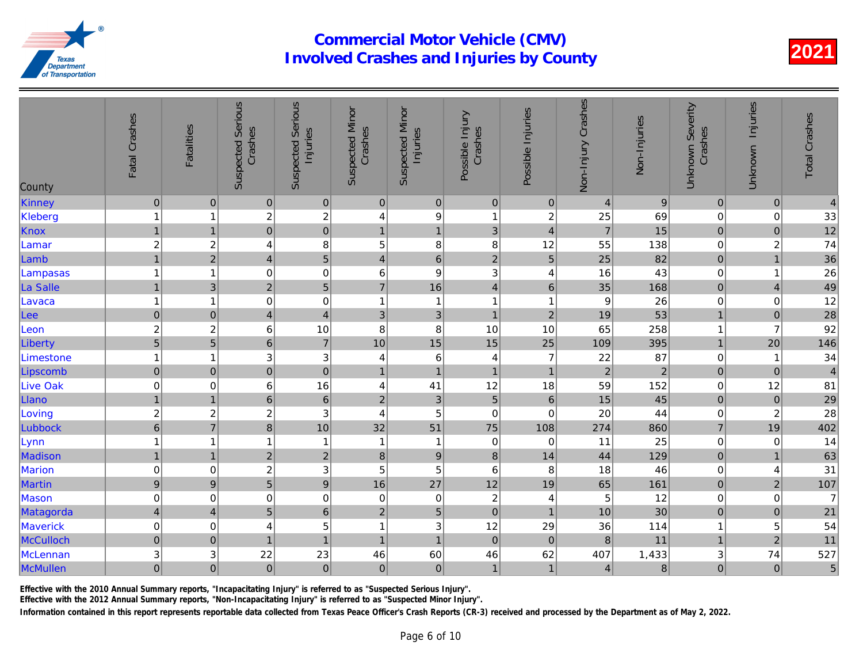|                   | Fatal Crashes           | <b>Fatalities</b>        | <b>Suspected Serious</b><br>Crashes        | <b>Suspected Serious</b><br>Injuries | <b>Suspected Minor</b><br>Crashes | <b>Suspected Minor</b><br>Injuries | Possible Injury<br>Crashes | Possible Injuries           | Non-Injury Crashes      | Non-Injuries         |
|-------------------|-------------------------|--------------------------|--------------------------------------------|--------------------------------------|-----------------------------------|------------------------------------|----------------------------|-----------------------------|-------------------------|----------------------|
| County            | $\pmb{0}$               |                          |                                            |                                      |                                   |                                    |                            |                             |                         |                      |
| Kinney<br>Kleberg | $\overline{1}$          | $\pmb{0}$<br>1           | $\vert 0 \vert$<br>$\overline{\mathbf{c}}$ | $\pmb{0}$<br>$\overline{c}$          | $\pmb{0}$<br>4                    | $\pmb{0}$<br>$\boldsymbol{9}$      | $\pmb{0}$<br>$\mathbf{1}$  | $\pmb{0}$<br>$\overline{c}$ | $\overline{4}$<br>25    | $\overline{9}$<br>69 |
| Knox              | $\mathbf{1}$            | $\overline{1}$           | $\overline{0}$                             | $\overline{0}$                       | $\overline{1}$                    | $\mathbf{1}$                       | 3                          | $\overline{4}$              | $\overline{7}$          | 15                   |
| Lamar             | $\overline{c}$          | $\boldsymbol{2}$         | 4                                          | $\bf8$                               | 5                                 | $\,8\,$                            | 8                          | 12                          | 55                      | 138                  |
| Lamb              | $\mathbf{1}$            | $\overline{c}$           | $\vert 4 \vert$                            | $\overline{5}$                       | $\overline{4}$                    | $\boldsymbol{6}$                   | $\overline{c}$             | $\sqrt{5}$                  | 25                      | 82                   |
| Lampasas          | $\overline{1}$          | $\overline{\phantom{a}}$ | 0                                          | $\pmb{0}$                            | 6                                 | $\boldsymbol{9}$                   | 3                          | 4                           | 16                      | 43                   |
| La Salle          | $\overline{1}$          | 3                        | $\overline{2}$                             | $\overline{5}$                       | $\overline{7}$                    | 16                                 | $\overline{4}$             | $\,6$                       | 35                      | 168                  |
| Lavaca            | $\overline{1}$          | 1                        | $\mathbf 0$                                | $\boldsymbol{0}$                     | 1                                 | $\mathbf{1}$                       | $\mathbf{1}$               | $\overline{\mathbf{1}}$     | 9                       | 26                   |
| Lee               | $\pmb{0}$               | $\pmb{0}$                | $\vert 4 \vert$                            | $\overline{4}$                       | 3                                 | $\ensuremath{\mathsf{3}}$          | $\mathbf{1}$               | $\sqrt{2}$                  | 19                      | 53                   |
| Leon              | $\overline{\mathbf{c}}$ | $\overline{\mathbf{c}}$  | 6                                          | 10                                   | 8                                 | $\bf 8$                            | 10                         | 10                          | 65                      | 258                  |
| Liberty           | $\overline{5}$          | 5                        | $6\phantom{a}$                             | $\overline{7}$                       | 10                                | 15                                 | 15                         | 25                          | 109                     | 395                  |
| Limestone         | $\mathbf{1}$            | 1                        | 3                                          | 3                                    | 4                                 | $\,6$                              | 4                          | $\overline{7}$              | 22                      | 87                   |
| Lipscomb          | $\pmb{0}$               | $\pmb{0}$                | $\overline{0}$                             | $\mathbf 0$                          | $\mathbf{1}$                      | $\overline{1}$                     | $\mathbf{1}$               | $\overline{1}$              | $\overline{2}$          | $\overline{2}$       |
| <b>Live Oak</b>   | $\pmb{0}$               | 0                        | 6                                          | 16                                   | 4                                 | 41                                 | 12                         | 18                          | 59                      | 152                  |
| Llano             | $\overline{1}$          | $\overline{1}$           | $6\overline{6}$                            | $\overline{6}$                       | $\overline{c}$                    | $\mathbf{3}$                       | $\overline{5}$             | $6\phantom{1}6$             | 15                      | 45                   |
| Loving            | $\overline{\mathbf{c}}$ | $\overline{\mathbf{c}}$  | $\overline{c}$                             | 3                                    | $\overline{4}$                    | 5                                  | $\mathbf 0$                | $\mathbf 0$                 | 20                      | 44                   |
| Lubbock           | $\boldsymbol{6}$        | $\overline{7}$           | $\bf{8}$                                   | 10                                   | 32                                | 51                                 | 75                         | 108                         | 274                     | 860                  |
| Lynn              | $\overline{1}$          | 1                        | $\mathbf{1}$                               | $\mathbf{1}$                         | 1                                 | $\mathbf{1}$                       | $\pmb{0}$                  | 0                           | 11                      | 25                   |
| Madison           | $\mathbf{1}$            | $\overline{1}$           | $\overline{2}$                             | $\overline{c}$                       | $\boldsymbol{8}$                  | $\mathsf g$                        | $\bf{8}$                   | 14                          | 44                      | 129                  |
| <b>Marion</b>     | $\pmb{0}$               | 0                        | $\overline{\mathbf{c}}$                    | 3                                    | 5                                 | $\overline{5}$                     | $6\phantom{1}6$            | 8                           | 18                      | 46                   |
| <b>Martin</b>     | $\boldsymbol{9}$        | $\mathsf g$              | $\overline{5}$                             | $\overline{9}$                       | 16                                | 27                                 | 12                         | 19                          | 65                      | 161                  |
| Mason             | $\pmb{0}$               | 0                        | 0                                          | $\mathbf 0$                          | 0                                 | $\pmb{0}$                          | $\overline{c}$             | 4                           | 5                       | 12                   |
| Matagorda         | $\overline{4}$          | $\overline{4}$           | 5 <sup>1</sup>                             | $\mathbf 6$                          | $\overline{2}$                    | 5                                  | $\mathbf 0$                | $\mathbf{1}$                | 10                      | 30                   |
| <b>Maverick</b>   | $\pmb{0}$               | 0                        | 4                                          | 5                                    | 1                                 | $\mathbf 3$                        | 12                         | 29                          | 36                      | 114                  |
| McCulloch         | $\pmb{0}$               | $\pmb{0}$                | $\mathbf{1}$                               | $\overline{1}$                       | $\overline{1}$                    | $\overline{1}$                     | $\mathbf 0$                | $\pmb{0}$                   | $\bf 8$                 | 11                   |
| McLennan          | 3                       | 3                        | 22                                         | 23                                   | 46                                | 60                                 | 46                         | 62                          | 407                     | 1,433                |
| McMullen          | $\overline{0}$          | $\pmb{0}$                | $\mathbf 0$                                | $\mathbf 0$                          | $\pmb{0}$                         | $\pmb{0}$                          | $\mathbf{1}$               | $\mathbf{1}$                | $\overline{\mathbf{4}}$ | $\boldsymbol{8}$     |

Effective with the 2010 Annual Summary reports, "Incapacitating Injury" is referred to as "Suspected Serious Injury".

Effective with the 2012 Annual Summary reports, "Non-Incapacitating Injury" is referred to as "Suspected Minor Injury".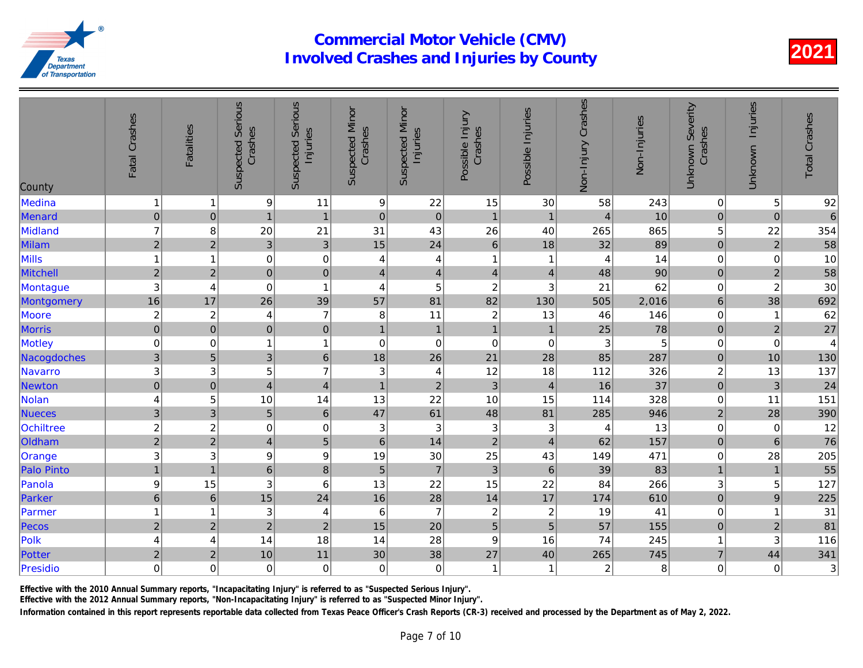| County            | Fatal Crashes             | <b>Fatalities</b>       | <b>Suspected Serious</b><br>Crashes | <b>Suspected Serious</b><br>Injuries | <b>Suspected Minor</b><br>Crashes | <b>Suspected Minor</b><br>Injuries | Possible Injury<br>Crashes | Possible Injuries       | Non-Injury Crashes | Non-Injuries |
|-------------------|---------------------------|-------------------------|-------------------------------------|--------------------------------------|-----------------------------------|------------------------------------|----------------------------|-------------------------|--------------------|--------------|
| Medina            | $\overline{1}$            | 1                       | 9                                   | 11                                   | 9                                 | 22                                 | 15                         | 30                      | 58                 | 243          |
| Menard            | $\mathbf 0$               | $\mathsf{O}\xspace$     | 1                                   | $\overline{1}$                       | $\pmb{0}$                         | $\pmb{0}$                          | $\mathbf{1}$               | $\mathbf{1}$            | $\overline{4}$     | 10           |
| Midland           | $\overline{7}$            | 8                       | 20                                  | 21                                   | 31                                | 43                                 | 26                         | 40                      | 265                | 865          |
| Milam             | $\overline{c}$            | $\overline{2}$          | 3 <sup>1</sup>                      | 3                                    | 15                                | 24                                 | $6\phantom{1}6$            | 18                      | 32                 | 89           |
| <b>Mills</b>      | $\overline{1}$            | 1                       | $\mathbf 0$                         | $\mathbf 0$                          | 4                                 | 4                                  | $\mathbf{1}$               | 1                       | 4                  | 14           |
| Mitchell          | $\overline{c}$            | $\sqrt{2}$              | $\overline{0}$                      | $\mathbf 0$                          | $\overline{4}$                    | $\vert 4 \vert$                    | $\overline{\mathbf{4}}$    | $\overline{4}$          | 48                 | 90           |
| Montague          | 3                         | 4                       | 0                                   | $\overline{1}$                       | 4                                 | 5                                  | $\overline{c}$             | 3                       | 21                 | 62           |
| Montgomery        | 16                        | 17                      | 26                                  | 39                                   | 57                                | 81                                 | 82                         | 130                     | 505                | 2,016        |
| Moore             | $\overline{c}$            | $\sqrt{2}$              | 4                                   | $\overline{7}$                       | 8                                 | 11                                 | $\overline{c}$             | 13                      | 46                 | 146          |
| <b>Morris</b>     | $\overline{0}$            | $\pmb{0}$               | $\overline{0}$                      | $\overline{0}$                       | $\overline{1}$                    | $\mathbf{1}$                       | $\mathbf{1}$               | $\mathbf{1}$            | 25                 | 78           |
| Motley            | $\mathbf 0$               | 0                       | 1                                   | $\overline{1}$                       | $\mathbf 0$                       | $\mathbf 0$                        | $\mathbf 0$                | $\mathbf 0$             | 3                  | 5            |
| Nacogdoches       | $\mathbf{3}$              | 5                       | 3 <sup>1</sup>                      | $\,6\,$                              | 18                                | 26                                 | 21                         | 28                      | 85                 | 287          |
| Navarro           | $\ensuremath{\mathsf{3}}$ | 3                       | 5                                   | $\overline{7}$                       | 3                                 | $\overline{4}$                     | 12                         | 18                      | 112                | 326          |
| Newton            | $\boldsymbol{0}$          | $\overline{0}$          | $\vert 4 \vert$                     | $\overline{\mathcal{L}}$             | $\overline{1}$                    | $\mathbf 2$                        | 3                          | $\overline{4}$          | 16                 | 37           |
| <b>Nolan</b>      | $\overline{4}$            | 5                       | 10                                  | 14                                   | 13                                | 22                                 | 10                         | 15                      | 114                | 328          |
| <b>Nueces</b>     | $\ensuremath{\mathsf{3}}$ | 3                       | 5                                   | $\,$ 6                               | 47                                | 61                                 | 48                         | 81                      | 285                | 946          |
| <b>Ochiltree</b>  | $\overline{c}$            | $\overline{\mathbf{c}}$ | 0                                   | $\mathbf 0$                          | 3                                 | $\sqrt{3}$                         | 3                          | 3                       | 4                  | 13           |
| Oldham            | $\overline{a}$            | $\overline{2}$          | $\vert 4 \vert$                     | $\overline{5}$                       | $6\phantom{1}6$                   | 14                                 | $\overline{c}$             | $\overline{4}$          | 62                 | 157          |
| Orange            | 3                         | 3                       | 9                                   | 9                                    | 19                                | 30                                 | 25                         | 43                      | 149                | 471          |
| <b>Palo Pinto</b> | $\overline{1}$            |                         | $6\overline{6}$                     | 8                                    | 5                                 | $\overline{7}$                     | 3                          | $6\phantom{1}$          | 39                 | 83           |
| Panola            | 9                         | 15                      | 3                                   | $6\phantom{1}6$                      | 13                                | 22                                 | 15                         | 22                      | 84                 | 266          |
| Parker            | $\,6$                     | $\,6\,$                 | 15                                  | 24                                   | 16                                | 28                                 | 14                         | 17                      | 174                | 610          |
| Parmer            | $\overline{1}$            | 1                       | 3                                   | 4                                    | 6                                 | $\overline{7}$                     | $\overline{c}$             | $\boldsymbol{2}$        | 19                 | 41           |
| Pecos             | $\overline{2}$            | $\overline{2}$          | $\overline{2}$                      | $\overline{2}$                       | 15                                | 20                                 | 5                          | $\overline{5}$          | 57                 | 155          |
| Polk              | $\overline{4}$            | 4                       | 14                                  | 18                                   | 14                                | 28                                 | 9                          | 16                      | 74                 | 245          |
| Potter            | $\mathbf 2$               | $\overline{2}$          | 10                                  | 11                                   | 30                                | 38                                 | 27                         | 40                      | 265                | 745          |
| Presidio          | $\mbox{O}$                | 0                       | 0                                   | $\pmb{0}$                            | 0                                 | $\mathsf 0$                        | $\mathbf{1}$               | $\overline{\mathbf{1}}$ | $\boldsymbol{2}$   | 8            |

Effective with the 2010 Annual Summary reports, "Incapacitating Injury" is referred to as "Suspected Serious Injury".

Effective with the 2012 Annual Summary reports, "Non-Incapacitating Injury" is referred to as "Suspected Minor Injury".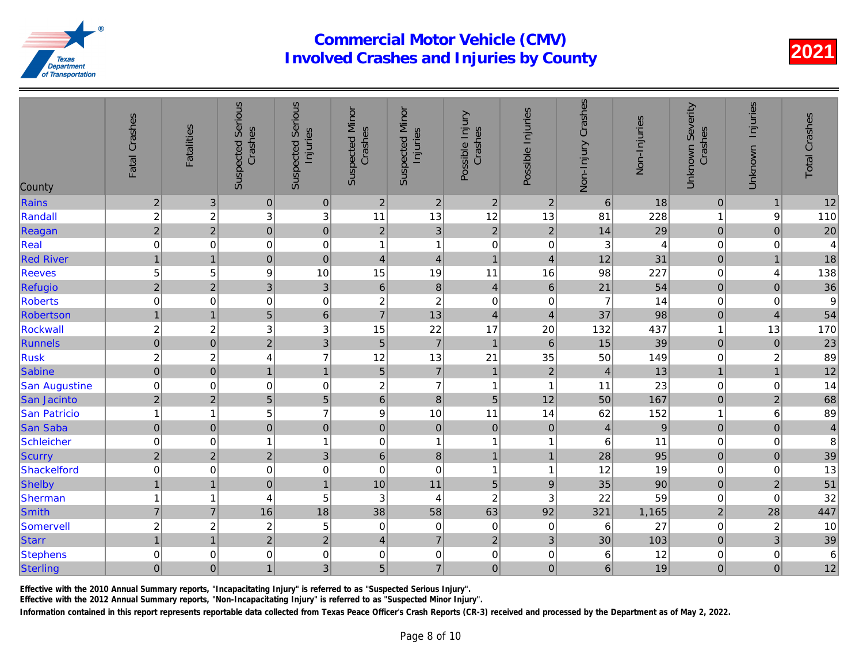|                      | Fatal Crashes           | <b>Fatalities</b>       | <b>Suspected Serious</b><br>Crashes | <b>Serious</b><br>Injuries<br>Suspected | <b>Suspected Minor</b><br>Crashes | <b>Suspected Minor</b><br>Injuries | Possible Injury<br>Crashes | Possible Injuries | Non-Injury Crashes | Non-Injuries   |
|----------------------|-------------------------|-------------------------|-------------------------------------|-----------------------------------------|-----------------------------------|------------------------------------|----------------------------|-------------------|--------------------|----------------|
| County               |                         |                         |                                     |                                         |                                   |                                    |                            |                   |                    |                |
| Rains                | $\overline{2}$          | 3                       | $\overline{0}$                      | $\pmb{0}$                               | $\overline{2}$                    | $\overline{2}$                     | $\overline{2}$             | $\overline{2}$    | 6                  | 18             |
| Randall              | $\overline{\mathbf{c}}$ | $\overline{\mathbf{c}}$ | $\overline{3}$                      | $\mathbf{3}$                            | 11                                | 13                                 | 12                         | 13                | 81                 | 228            |
| Reagan               | $\overline{2}$          | $\overline{c}$          | $\overline{0}$                      | $\overline{0}$                          | $\overline{c}$                    | $\mathbf{3}$                       | $\overline{c}$             | $\overline{2}$    | 14                 | 29             |
| Real                 | $\mathbf 0$             | 0                       | $\mathbf 0$                         | $\mathbf 0$                             | 1                                 | $\mathbf{1}$                       | $\mathbf 0$                | 0                 | 3                  | $\overline{4}$ |
| <b>Red River</b>     | $\mathbf{1}$            | $\overline{1}$          | $\overline{0}$                      | $\mathbf 0$                             | $\overline{\mathbf{4}}$           | $\overline{4}$                     | $\mathbf{1}$               | $\overline{4}$    | 12                 | 31             |
| <b>Reeves</b>        | $\sqrt{5}$              | 5                       | 9                                   | 10                                      | 15                                | 19                                 | 11                         | 16                | 98                 | 227            |
| <b>Refugio</b>       | $\overline{2}$          | $\overline{2}$          | $\overline{3}$                      | $\overline{3}$                          | $6\phantom{1}$                    | $\bf 8$                            | $\overline{4}$             | $\,6\,$           | 21                 | 54             |
| <b>Roberts</b>       | $\pmb{0}$               | $\mathbf 0$             | $\mathbf 0$                         | $\mathbf 0$                             | $\overline{c}$                    | $\overline{c}$                     | $\mathbf 0$                | 0                 | $\overline{7}$     | 14             |
| Robertson            | $\mathbf{1}$            | 1                       | 5 <sup>1</sup>                      | $\,$ 6 $\,$                             | $\overline{7}$                    | 13                                 | $\overline{4}$             | $\overline{4}$    | 37                 | 98             |
| <b>Rockwall</b>      | $\overline{\mathbf{c}}$ | $\overline{\mathbf{c}}$ | 3                                   | 3                                       | 15                                | 22                                 | 17                         | 20                | 132                | 437            |
| Runnels              | $\mathbf 0$             | $\pmb{0}$               | $\overline{2}$                      | $\ensuremath{\mathsf{3}}$               | 5                                 | $\overline{7}$                     | $\mathbf{1}$               | $\,6\,$           | 15                 | 39             |
| <b>Rusk</b>          | $\overline{c}$          | $\overline{c}$          | $\overline{4}$                      | $\overline{7}$                          | 12                                | 13                                 | 21                         | 35                | 50                 | 149            |
| Sabine               | $\pmb{0}$               | $\mathbf 0$             | $\overline{1}$                      | $\overline{1}$                          | 5                                 | $\overline{7}$                     | $\mathbf{1}$               | $\overline{2}$    | $\overline{4}$     | 13             |
| <b>San Augustine</b> | $\pmb{0}$               | 0                       | $\mathbf 0$                         | $\mathbf 0$                             | $\overline{c}$                    | $\overline{7}$                     | $\mathbf{1}$               | -1                | 11                 | 23             |
| San Jacinto          | $\overline{2}$          | $\overline{2}$          | 5 <sup>1</sup>                      | $\overline{5}$                          | 6                                 | $\bf 8$                            | 5                          | 12                | 50                 | 167            |
| <b>San Patricio</b>  | $\overline{1}$          | 1                       | 5                                   | $\overline{7}$                          | 9                                 | 10                                 | 11                         | 14                | 62                 | 152            |
| San Saba             | $\pmb{0}$               | $\mathbf 0$             | $\overline{0}$                      | $\mathbf 0$                             | $\mathbf 0$                       | $\overline{0}$                     | $\pmb{0}$                  | $\pmb{0}$         | $\overline{4}$     | $\overline{9}$ |
| <b>Schleicher</b>    | $\pmb{0}$               | 0                       | $\mathbf{1}$                        | $\mathbf{1}$                            | 0                                 | $\mathbf{1}$                       | $\mathbf{1}$               | 1                 | $\,6$              | 11             |
| Scurry               | $\sqrt{2}$              | $\overline{c}$          | $\overline{2}$                      | $\mathbf{3}$                            | $6\phantom{1}$                    | $\bf 8$                            | $\mathbf{1}$               | $\overline{1}$    | 28                 | 95             |
| Shackelford          | $\boldsymbol{0}$        | 0                       | $\boldsymbol{0}$                    | $\mathbf 0$                             | 0                                 | $\pmb{0}$                          | 1                          | 1                 | 12                 | 19             |
| Shelby               | $\overline{1}$          | $\overline{1}$          | $\overline{0}$                      | $\mathbf{1}$                            | 10                                | 11                                 | 5                          | $\boldsymbol{9}$  | 35                 | 90             |
| Sherman              | $\mathbf{1}$            | 1                       | 4                                   | 5                                       | 3                                 | $\overline{4}$                     | $\overline{c}$             | 3                 | 22                 | 59             |
| <b>Smith</b>         | $\overline{7}$          | $\overline{7}$          | 16                                  | 18                                      | 38                                | 58                                 | 63                         | 92                | 321                | 1,165          |
| <b>Somervell</b>     | $\overline{\mathbf{c}}$ | $\overline{c}$          | $\overline{\mathbf{c}}$             | 5                                       | $\mathbf 0$                       | $\pmb{0}$                          | $\mathbf 0$                | $\mathbf 0$       | 6                  | 27             |
| <b>Starr</b>         | $\overline{1}$          | $\overline{1}$          | $\overline{2}$                      | $\overline{c}$                          | $\overline{4}$                    | $\overline{7}$                     | $\overline{c}$             | 3                 | 30                 | 103            |
| <b>Stephens</b>      | $\boldsymbol{0}$        | 0                       | 0                                   | $\mathbf 0$                             | 0                                 | $\boldsymbol{0}$                   | $\mathbf 0$                | 0                 | 6                  | 12             |
| Sterling             | $\mathbf 0$             | $\mathbf{0}$            | 1                                   | $\mathfrak{B}$                          | 5                                 | $\overline{7}$                     | $\mathbf 0$                | $\mathbf 0$       | 6                  | 19             |
|                      |                         |                         |                                     |                                         |                                   |                                    |                            |                   |                    |                |

Effective with the 2010 Annual Summary reports, "Incapacitating Injury" is referred to as "Suspected Serious Injury".

Effective with the 2012 Annual Summary reports, "Non-Incapacitating Injury" is referred to as "Suspected Minor Injury".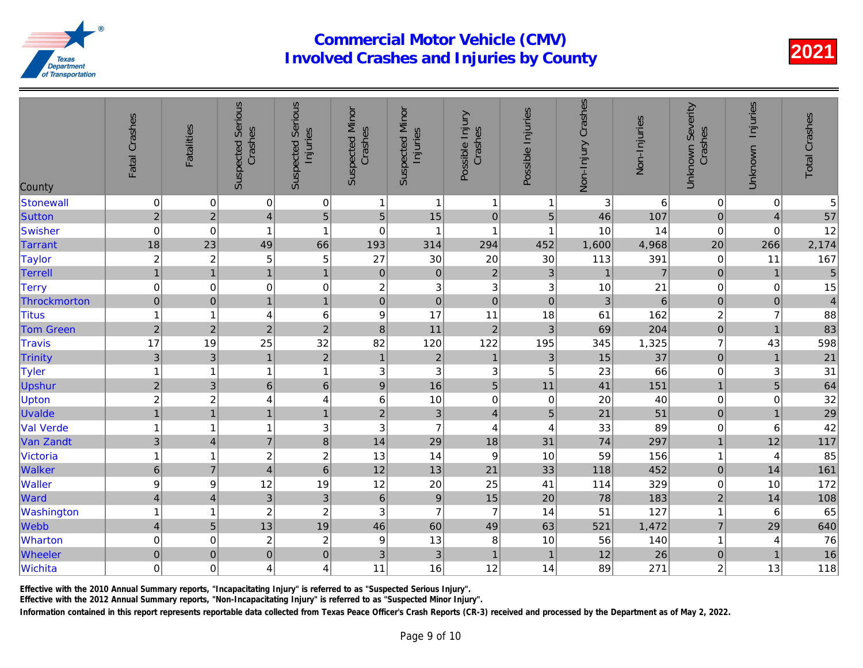| County           | Fatal Crashes           | <b>Fatalities</b>       | <b>Suspected Serious</b><br>Crashes | <b>Suspected Serious</b><br>Injuries | <b>Suspected Minor</b><br>Crashes | <b>Suspected Minor</b><br>Injuries | Possible Injury<br>Crashes | Possible Injuries | Non-Injury Crashes | Non-Injuries    |
|------------------|-------------------------|-------------------------|-------------------------------------|--------------------------------------|-----------------------------------|------------------------------------|----------------------------|-------------------|--------------------|-----------------|
| Stonewall        | $\pmb{0}$               | 0                       | $\pmb{0}$                           | $\vert 0 \vert$                      | $\mathbf{1}$                      | $\mathbf{1}$                       | $\mathbf{1}$               | $\overline{1}$    | $\sqrt{3}$         | 6               |
| Sutton           | $\overline{2}$          | $\overline{2}$          | $\overline{4}$                      | 5                                    | 5                                 | 15                                 | $\mathbf 0$                | 5                 | 46                 | 107             |
| Swisher          | $\mathbf 0$             | $\boldsymbol{0}$        | $\overline{1}$                      | $\mathbf{1}$                         | $\boldsymbol{0}$                  | $\mathbf{1}$                       | $\mathbf{1}$               | $\overline{1}$    | 10                 | 14              |
| <b>Tarrant</b>   | 18                      | 23                      | 49                                  | 66                                   | 193                               | 314                                | 294                        | 452               | 1,600              | 4,968           |
| <b>Taylor</b>    | $\overline{\mathbf{c}}$ | $\overline{c}$          | 5                                   | 5                                    | 27                                | 30                                 | 20                         | 30                | 113                | 391             |
| Terrell          | $\overline{1}$          | $\mathbf{1}$            | $\mathbf{1}$                        | $\mathbf{1}$                         | $\pmb{0}$                         | $\pmb{0}$                          | $\sqrt{2}$                 | $\sqrt{3}$        | $\overline{1}$     | $\overline{7}$  |
| <b>Terry</b>     | $\pmb{0}$               | 0                       | $\pmb{0}$                           | $\mathbf 0$                          | $\boldsymbol{2}$                  | $\ensuremath{\mathsf{3}}$          | 3                          | 3                 | 10                 | 21              |
| Throckmorton     | $\pmb{0}$               | $\mathbf 0$             | $\overline{1}$                      | $\overline{1}$                       | $\overline{0}$                    | $\mathbf 0$                        | $\mathbf 0$                | $\pmb{0}$         | 3                  | $6\overline{6}$ |
| <b>Titus</b>     | $\mathbf{1}$            | -1                      | 4                                   | $\,6$                                | $\boldsymbol{9}$                  | 17                                 | 11                         | 18                | 61                 | 162             |
| <b>Tom Green</b> | $\overline{c}$          | $\overline{2}$          | $\overline{2}$                      | $\overline{c}$                       | $\bf 8$                           | 11                                 | $\overline{2}$             | 3                 | 69                 | 204             |
| <b>Travis</b>    | 17                      | 19                      | 25                                  | 32                                   | 82                                | 120                                | 122                        | 195               | 345                | 1,325           |
| Trinity          | $\mathbf{3}$            | $\mathbf{3}$            | $\mathbf{1}$                        | $\overline{2}$                       | $\mathbf{1}$                      | $\mathbf 2$                        | $\mathbf{1}$               | $\mathbf{3}$      | 15                 | 37              |
| Tyler            | $\mathbf{1}$            | 1                       | 1                                   | $\mathbf{1}$                         | 3                                 | $\ensuremath{\mathsf{3}}$          | $\sqrt{3}$                 | $\overline{5}$    | 23                 | 66              |
| Upshur           | $\sqrt{2}$              | $\mathbf{3}$            | 6                                   | $6\phantom{1}6$                      | $\boldsymbol{9}$                  | 16                                 | $\overline{5}$             | 11                | 41                 | 151             |
| <b>Upton</b>     | $\overline{c}$          | $\overline{\mathbf{c}}$ | 4                                   | $\overline{\mathbf{4}}$              | 6                                 | 10                                 | $\pmb{0}$                  | 0                 | 20                 | 40              |
| <b>Uvalde</b>    | $\overline{1}$          | $\overline{1}$          | $\mathbf{1}$                        | $\mathbf{1}$                         | $\mathbf 2$                       | $\sqrt{3}$                         | $\overline{\mathbf{4}}$    | 5                 | 21                 | 51              |
| <b>Val Verde</b> | $\mathbf{1}$            | 1                       | 1                                   | 3                                    | $\ensuremath{\mathsf{3}}$         | $\overline{7}$                     | $\overline{\mathbf{4}}$    | 4                 | 33                 | 89              |
| Van Zandt        | $\mathbf{3}$            | $\overline{4}$          | $\overline{7}$                      | $\overline{8}$                       | 14                                | 29                                 | 18                         | 31                | 74                 | 297             |
| Victoria         | $\mathbf{1}$            | 1                       | $\overline{c}$                      | $\overline{c}$                       | 13                                | 14                                 | $\boldsymbol{9}$           | 10                | 59                 | 156             |
| Walker           | $6 \mid$                | $\overline{7}$          | $\overline{4}$                      | $\overline{6}$                       | 12                                | 13                                 | 21                         | 33                | 118                | 452             |
| <b>Waller</b>    | $\boldsymbol{9}$        | $\boldsymbol{9}$        | 12                                  | 19                                   | 12                                | 20                                 | 25                         | 41                | 114                | 329             |
| Ward             | $\overline{\mathbf{4}}$ | $\overline{4}$          | $\mathfrak{B}$                      | $\ensuremath{\mathsf{3}}$            | $\,$ 6                            | $\boldsymbol{9}$                   | 15                         | 20                | 78                 | 183             |
| Washington       | $\mathbf{1}$            | 1                       | $\overline{c}$                      | $\overline{c}$                       | $\ensuremath{\mathsf{3}}$         | $\overline{7}$                     | $\overline{7}$             | 14                | 51                 | 127             |
| Webb             | $\overline{4}$          | $\overline{5}$          | 13                                  | 19                                   | 46                                | 60                                 | 49                         | 63                | 521                | 1,472           |
| Wharton          | $\pmb{0}$               | $\mathbf 0$             | $\boldsymbol{2}$                    | $\overline{c}$                       | $\boldsymbol{9}$                  | 13                                 | 8                          | 10                | 56                 | 140             |
| Wheeler          | $\pmb{0}$               | $\pmb{0}$               | $\mathsf 0$                         | $\overline{0}$                       | 3                                 | $\ensuremath{\mathsf{3}}$          | $\mathbf{1}$               | $\overline{1}$    | 12                 | 26              |
| Wichita          | $\mathbf 0$             | 0                       | 4                                   | $\overline{\mathbf{4}}$              | 11                                | 16                                 | 12                         | 14                | 89                 | 271             |

Effective with the 2010 Annual Summary reports, "Incapacitating Injury" is referred to as "Suspected Serious Injury".

Effective with the 2012 Annual Summary reports, "Non-Incapacitating Injury" is referred to as "Suspected Minor Injury".